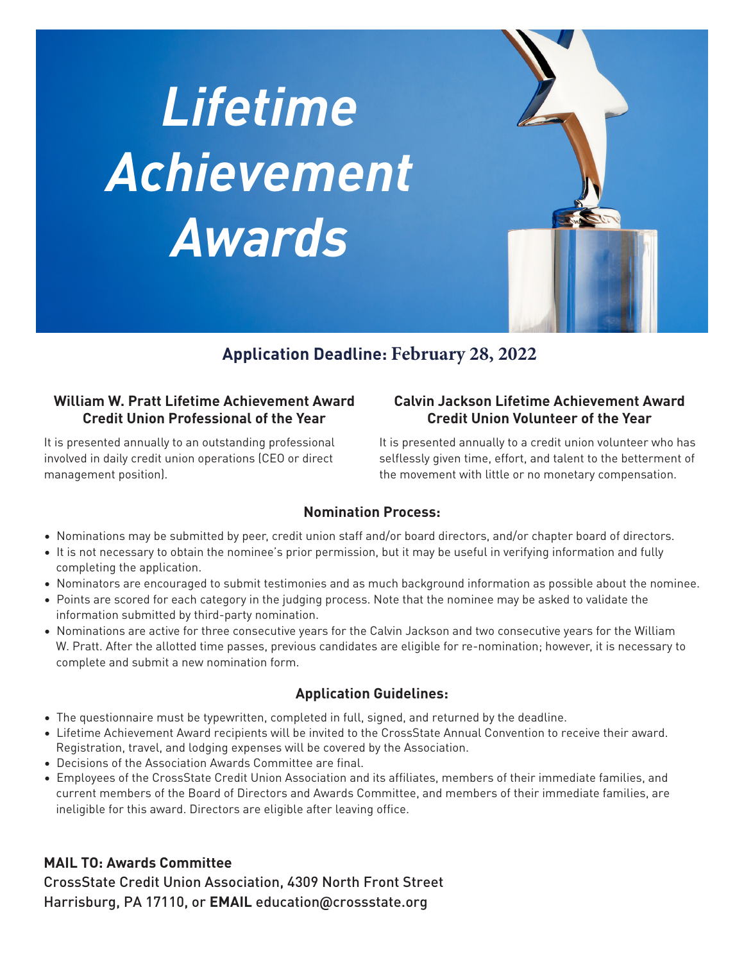



# **Application Deadline: February 28, 2022**

## **William W. Pratt Lifetime Achievement Award Credit Union Professional of the Year**

It is presented annually to an outstanding professional involved in daily credit union operations (CEO or direct management position).

# **Calvin Jackson Lifetime Achievement Award Credit Union Volunteer of the Year**

It is presented annually to a credit union volunteer who has selflessly given time, effort, and talent to the betterment of the movement with little or no monetary compensation.

# **Nomination Process:**

- Nominations may be submitted by peer, credit union staff and/or board directors, and/or chapter board of directors.
- It is not necessary to obtain the nominee's prior permission, but it may be useful in verifying information and fully completing the application.
- Nominators are encouraged to submit testimonies and as much background information as possible about the nominee.
- Points are scored for each category in the judging process. Note that the nominee may be asked to validate the information submitted by third-party nomination.
- Nominations are active for three consecutive years for the Calvin Jackson and two consecutive years for the William W. Pratt. After the allotted time passes, previous candidates are eligible for re-nomination; however, it is necessary to complete and submit a new nomination form.

# **Application Guidelines:**

- The questionnaire must be typewritten, completed in full, signed, and returned by the deadline.
- Lifetime Achievement Award recipients will be invited to the CrossState Annual Convention to receive their award. Registration, travel, and lodging expenses will be covered by the Association.
- Decisions of the Association Awards Committee are final.
- Employees of the CrossState Credit Union Association and its affiliates, members of their immediate families, and current members of the Board of Directors and Awards Committee, and members of their immediate families, are ineligible for this award. Directors are eligible after leaving office.

# **MAIL TO: Awards Committee**

CrossState Credit Union Association, 4309 North Front Street Harrisburg, PA 17110, or **EMAIL** education**@**crossstate.org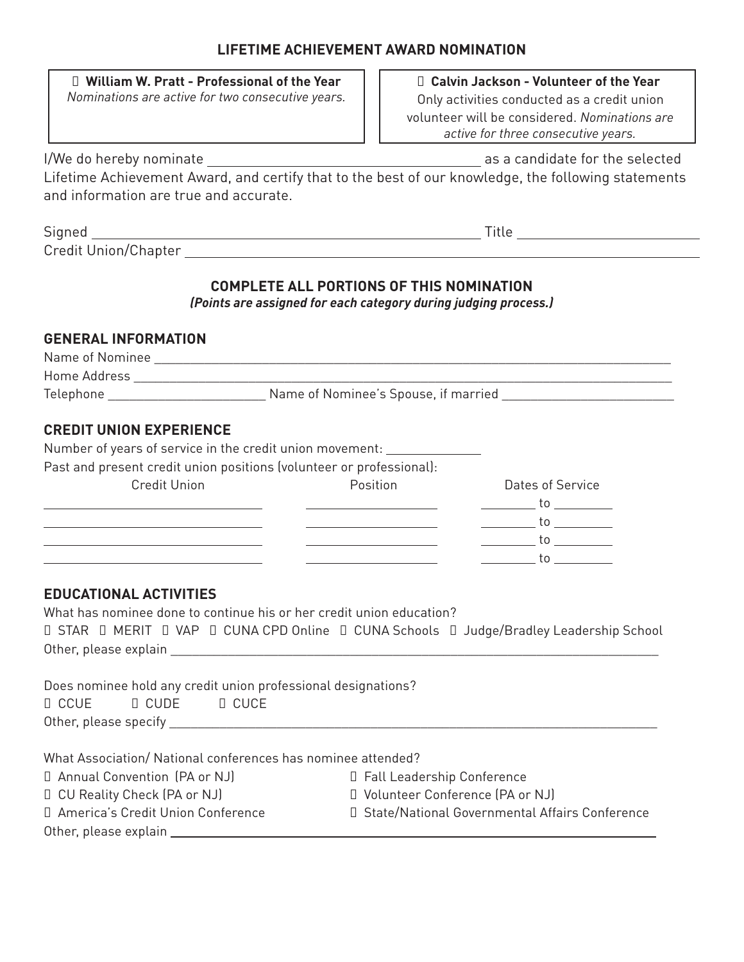| William W. Pratt - Professional of the Year<br>Nominations are active for two consecutive years.                                                                                                                                                                                                                                                                                          | Calvin Jackson - Volunteer of the Year<br>Only activities conducted as a credit union<br>volunteer will be considered. Nominations are<br>active for three consecutive years.                                                                                                                                                                                                                                                                                                                                                                                                                                                                                                                                                                                                                                                                                                                                                                                                                                                                                                                                                                                                                                                  |  |  |
|-------------------------------------------------------------------------------------------------------------------------------------------------------------------------------------------------------------------------------------------------------------------------------------------------------------------------------------------------------------------------------------------|--------------------------------------------------------------------------------------------------------------------------------------------------------------------------------------------------------------------------------------------------------------------------------------------------------------------------------------------------------------------------------------------------------------------------------------------------------------------------------------------------------------------------------------------------------------------------------------------------------------------------------------------------------------------------------------------------------------------------------------------------------------------------------------------------------------------------------------------------------------------------------------------------------------------------------------------------------------------------------------------------------------------------------------------------------------------------------------------------------------------------------------------------------------------------------------------------------------------------------|--|--|
|                                                                                                                                                                                                                                                                                                                                                                                           |                                                                                                                                                                                                                                                                                                                                                                                                                                                                                                                                                                                                                                                                                                                                                                                                                                                                                                                                                                                                                                                                                                                                                                                                                                |  |  |
| Lifetime Achievement Award, and certify that to the best of our knowledge, the following statements<br>and information are true and accurate.                                                                                                                                                                                                                                             |                                                                                                                                                                                                                                                                                                                                                                                                                                                                                                                                                                                                                                                                                                                                                                                                                                                                                                                                                                                                                                                                                                                                                                                                                                |  |  |
|                                                                                                                                                                                                                                                                                                                                                                                           |                                                                                                                                                                                                                                                                                                                                                                                                                                                                                                                                                                                                                                                                                                                                                                                                                                                                                                                                                                                                                                                                                                                                                                                                                                |  |  |
|                                                                                                                                                                                                                                                                                                                                                                                           |                                                                                                                                                                                                                                                                                                                                                                                                                                                                                                                                                                                                                                                                                                                                                                                                                                                                                                                                                                                                                                                                                                                                                                                                                                |  |  |
|                                                                                                                                                                                                                                                                                                                                                                                           | <b>COMPLETE ALL PORTIONS OF THIS NOMINATION</b><br>(Points are assigned for each category during judging process.)                                                                                                                                                                                                                                                                                                                                                                                                                                                                                                                                                                                                                                                                                                                                                                                                                                                                                                                                                                                                                                                                                                             |  |  |
| <b>GENERAL INFORMATION</b>                                                                                                                                                                                                                                                                                                                                                                |                                                                                                                                                                                                                                                                                                                                                                                                                                                                                                                                                                                                                                                                                                                                                                                                                                                                                                                                                                                                                                                                                                                                                                                                                                |  |  |
|                                                                                                                                                                                                                                                                                                                                                                                           |                                                                                                                                                                                                                                                                                                                                                                                                                                                                                                                                                                                                                                                                                                                                                                                                                                                                                                                                                                                                                                                                                                                                                                                                                                |  |  |
|                                                                                                                                                                                                                                                                                                                                                                                           |                                                                                                                                                                                                                                                                                                                                                                                                                                                                                                                                                                                                                                                                                                                                                                                                                                                                                                                                                                                                                                                                                                                                                                                                                                |  |  |
| Number of years of service in the credit union movement: ____________<br>Past and present credit union positions (volunteer or professional):<br><b>Credit Union</b><br>the control of the control of the control of the control of the control of the control of<br><u> 1989 - Johann John Stone, markin film yn y brenin y brenin y brenin y brenin y brenin y brenin y brenin y br</u> | Position<br>Dates of Service<br>___________ to ___________<br>$\frac{1}{\sqrt{1-\frac{1}{2}}}\cos\left(\frac{1}{2}\cos\left(\frac{1}{2}\cos\left(\frac{1}{2}\cos\left(\frac{1}{2}\cos\left(\frac{1}{2}\cos\left(\frac{1}{2}\cos\left(\frac{1}{2}\cos\left(\frac{1}{2}\cos\left(\frac{1}{2}\cos\left(\frac{1}{2}\cos\left(\frac{1}{2}\cos\left(\frac{1}{2}\cos\left(\frac{1}{2}\cos\left(\frac{1}{2}\cos\left(\frac{1}{2}\cos\left(\frac{1}{2}\cos\left(\frac{1}{2}\cos\left(\frac{1}{2}\cos\left(\frac{1}{2}\cos\left(\frac{1}{2}\cos\left$<br>the control of the control of the control of the<br>$\frac{1}{\sqrt{1-\frac{1}{2}}}\to 0$<br><u> 1989 - Johann Barbara, martxa alemaniar a</u><br>$\frac{1}{\sqrt{1-\frac{1}{2}}}\cos\left(\frac{1}{2}\cos\left(\frac{1}{2}\cos\left(\frac{1}{2}\cos\left(\frac{1}{2}\cos\left(\frac{1}{2}\cos\left(\frac{1}{2}\cos\left(\frac{1}{2}\cos\left(\frac{1}{2}\cos\left(\frac{1}{2}\cos\left(\frac{1}{2}\cos\left(\frac{1}{2}\cos\left(\frac{1}{2}\cos\left(\frac{1}{2}\cos\left(\frac{1}{2}\cos\left(\frac{1}{2}\cos\left(\frac{1}{2}\cos\left(\frac{1}{2}\cos\left(\frac{1}{2}\cos\left(\frac{1}{2}\cos\left(\frac{1}{2}\cos\left$<br>the control of the control of the control of |  |  |
| <b>EDUCATIONAL ACTIVITIES</b><br>What has nominee done to continue his or her credit union education?<br><b>STAR</b><br>MERIT VAP CUNA CPD Online CUNA Schools                                                                                                                                                                                                                            | Judge/Bradley Leadership School                                                                                                                                                                                                                                                                                                                                                                                                                                                                                                                                                                                                                                                                                                                                                                                                                                                                                                                                                                                                                                                                                                                                                                                                |  |  |
| Does nominee hold any credit union professional designations?<br><b>CCUE</b><br>CUDE CUCE                                                                                                                                                                                                                                                                                                 |                                                                                                                                                                                                                                                                                                                                                                                                                                                                                                                                                                                                                                                                                                                                                                                                                                                                                                                                                                                                                                                                                                                                                                                                                                |  |  |
| What Association/ National conferences has nominee attended?<br>Annual Convention (PA or NJ)<br>CU Reality Check (PA or NJ)<br>America's Credit Union Conference                                                                                                                                                                                                                          | <b>Fall Leadership Conference</b><br>Volunteer Conference (PA or NJ)<br>State/National Governmental Affairs Conference                                                                                                                                                                                                                                                                                                                                                                                                                                                                                                                                                                                                                                                                                                                                                                                                                                                                                                                                                                                                                                                                                                         |  |  |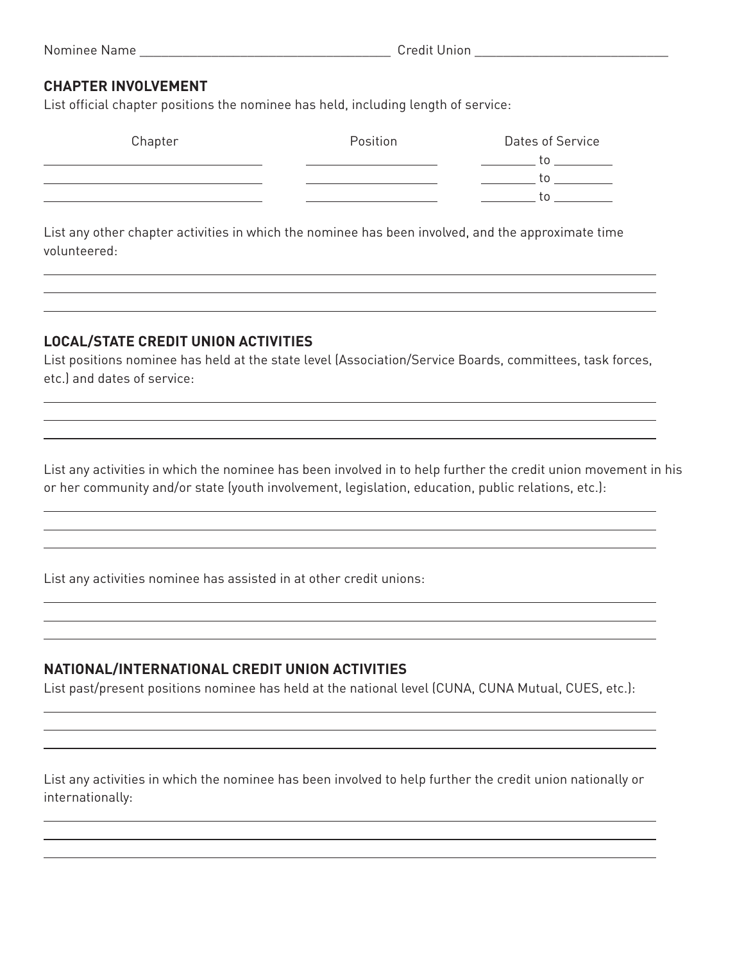#### **CHAPTER INVOLVEMENT**

List official chapter positions the nominee has held, including length of service:

| Chapter | Position | Dates of Service |
|---------|----------|------------------|
|         |          |                  |
|         |          |                  |
|         |          |                  |
|         |          |                  |

List any other chapter activities in which the nominee has been involved, and the approximate time volunteered:

### **LOCAL/STATE CREDIT UNION ACTIVITIES**

List positions nominee has held at the state level (Association/Service Boards, committees, task forces, etc.) and dates of service:

List any activities in which the nominee has been involved in to help further the credit union movement in his or her community and/or state (youth involvement, legislation, education, public relations, etc.):

List any activities nominee has assisted in at other credit unions:

## **NATIONAL/INTERNATIONAL CREDIT UNION ACTIVITIES**

List past/present positions nominee has held at the national level (CUNA, CUNA Mutual, CUES, etc.):

List any activities in which the nominee has been involved to help further the credit union nationally or internationally: